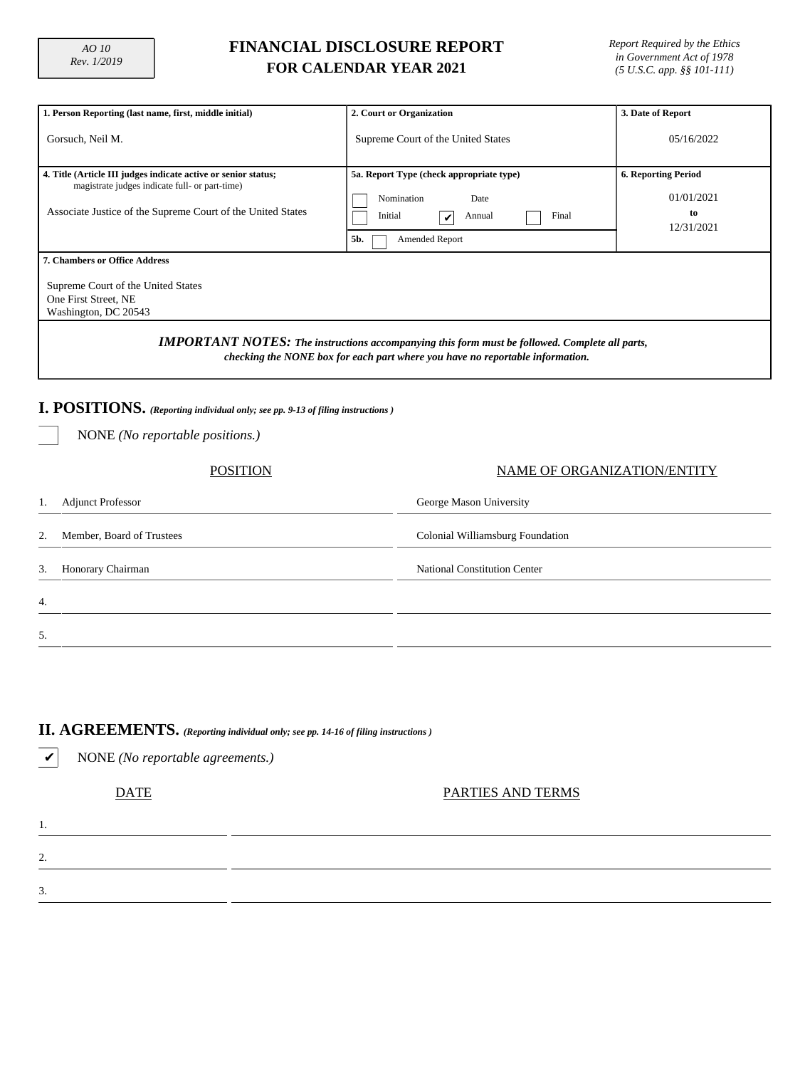## **FINANCIAL DISCLOSURE REPORT FOR CALENDAR YEAR 2021**

*Report Required by the Ethics in Government Act of 1978 (5 U.S.C. app. §§ 101-111)*

| 1. Person Reporting (last name, first, middle initial)                                                                                                                                                                                                                                                               | 2. Court or Organization                                                                                                              | 3. Date of Report                                            |  |  |  |  |  |  |
|----------------------------------------------------------------------------------------------------------------------------------------------------------------------------------------------------------------------------------------------------------------------------------------------------------------------|---------------------------------------------------------------------------------------------------------------------------------------|--------------------------------------------------------------|--|--|--|--|--|--|
| Gorsuch, Neil M.                                                                                                                                                                                                                                                                                                     | Supreme Court of the United States                                                                                                    | 05/16/2022                                                   |  |  |  |  |  |  |
| 4. Title (Article III judges indicate active or senior status;<br>magistrate judges indicate full- or part-time)<br>Associate Justice of the Supreme Court of the United States                                                                                                                                      | 5a. Report Type (check appropriate type)<br>Nomination<br>Date<br>Final<br>Initial<br>Annual<br>$\checkmark$<br>5b.<br>Amended Report | <b>6. Reporting Period</b><br>01/01/2021<br>to<br>12/31/2021 |  |  |  |  |  |  |
| <b>7. Chambers or Office Address</b><br>Supreme Court of the United States<br>One First Street, NE<br>Washington, DC 20543<br><b>IMPORTANT NOTES:</b> The instructions accompanying this form must be followed. Complete all parts,<br>checking the NONE box for each part where you have no reportable information. |                                                                                                                                       |                                                              |  |  |  |  |  |  |
| I. POSITIONS. (Reporting individual only; see pp. 9-13 of filing instructions)<br>NONE (No reportable positions.)                                                                                                                                                                                                    |                                                                                                                                       |                                                              |  |  |  |  |  |  |
| <b>POSITION</b>                                                                                                                                                                                                                                                                                                      |                                                                                                                                       | NAME OF ORGANIZATION/ENTITY                                  |  |  |  |  |  |  |
| <b>Adjunct Professor</b>                                                                                                                                                                                                                                                                                             | George Mason University                                                                                                               |                                                              |  |  |  |  |  |  |
|                                                                                                                                                                                                                                                                                                                      |                                                                                                                                       |                                                              |  |  |  |  |  |  |

|    | 2. Member, Board of Trustees | Colonial Williamsburg Foundation    |
|----|------------------------------|-------------------------------------|
|    | 3. Honorary Chairman         | <b>National Constitution Center</b> |
| 4. |                              |                                     |
| 5. |                              |                                     |

#### **II. AGREEMENTS.** *(Reporting individual only; see pp. 14-16 of filing instructions )*

✔ NONE *(No reportable agreements.)*

DATE PARTIES AND TERMS

| ٠<br>a. |
|---------|
|         |

3.

1.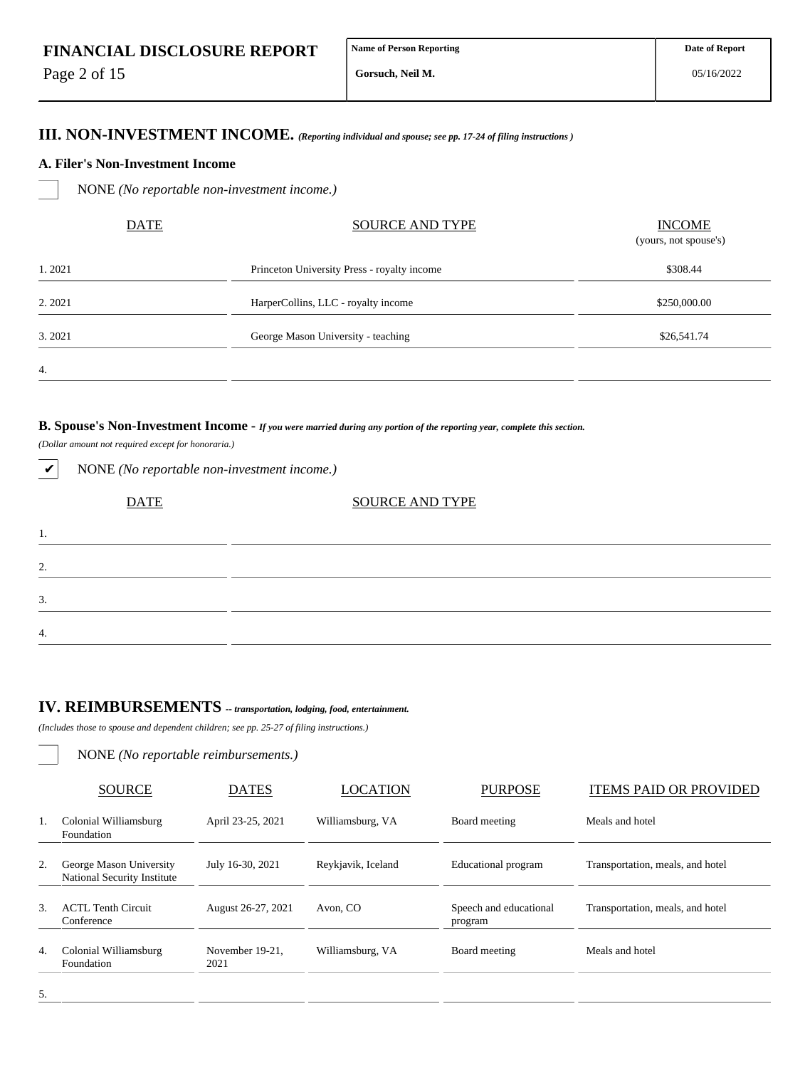Page 2 of 15

4.

**Gorsuch, Neil M.**

### **III. NON-INVESTMENT INCOME.** *(Reporting individual and spouse; see pp. 17-24 of filing instructions )*

#### **A. Filer's Non-Investment Income**

NONE *(No reportable non-investment income.)*

| <b>DATE</b> | <b>SOURCE AND TYPE</b>                      | <b>INCOME</b><br>(yours, not spouse's) |
|-------------|---------------------------------------------|----------------------------------------|
| 1.2021      | Princeton University Press - royalty income | \$308.44                               |
| 2.2021      | HarperCollins, LLC - royalty income         | \$250,000.00                           |
| 3.2021      | George Mason University - teaching          | \$26,541.74                            |
| 4.          |                                             |                                        |

#### **B. Spouse's Non-Investment Income -** *If you were married during any portion of the reporting year, complete this section.*

*(Dollar amount not required except for honoraria.)*

✔ NONE *(No reportable non-investment income.)*

| <b>DATE</b> | <b>SOURCE AND TYPE</b> |  |
|-------------|------------------------|--|
| .,          |                        |  |
| 2.          |                        |  |
| 3.          |                        |  |
| 4.          |                        |  |

# **IV. REIMBURSEMENTS** *-- transportation, lodging, food, entertainment.*

*(Includes those to spouse and dependent children; see pp. 25-27 of filing instructions.)*

NONE *(No reportable reimbursements.)*

|    | <b>SOURCE</b>                                                 | <b>DATES</b>            | LOCATION           | <b>PURPOSE</b>                    | <b>ITEMS PAID OR PROVIDED</b>    |
|----|---------------------------------------------------------------|-------------------------|--------------------|-----------------------------------|----------------------------------|
| 1. | Colonial Williamsburg<br>Foundation                           | April 23-25, 2021       | Williamsburg, VA   | Board meeting                     | Meals and hotel                  |
| 2. | George Mason University<br><b>National Security Institute</b> | July 16-30, 2021        | Reykjavik, Iceland | Educational program               | Transportation, meals, and hotel |
| 3. | <b>ACTL Tenth Circuit</b><br>Conference                       | August 26-27, 2021      | Avon. CO           | Speech and educational<br>program | Transportation, meals, and hotel |
| 4. | Colonial Williamsburg<br>Foundation                           | November 19-21,<br>2021 | Williamsburg, VA   | Board meeting                     | Meals and hotel                  |
|    |                                                               |                         |                    |                                   |                                  |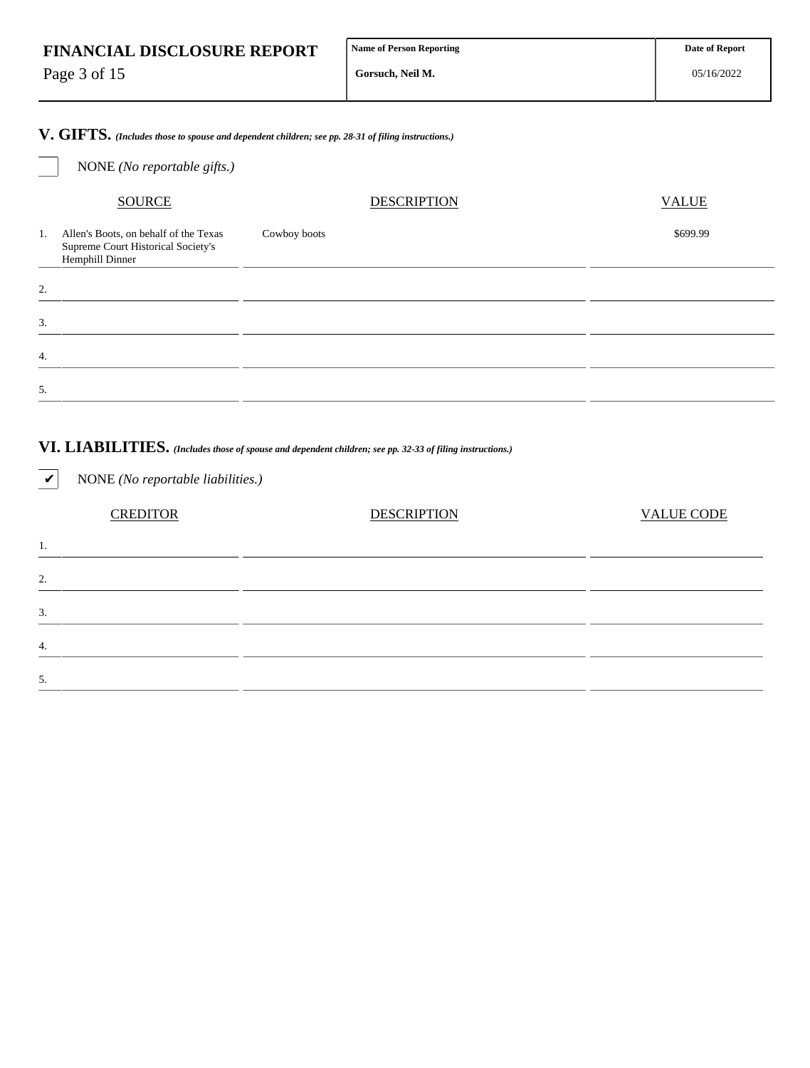Page 3 of 15

4.

5.

**Gorsuch, Neil M.**

**V. GIFTS.** *(Includes those to spouse and dependent children; see pp. 28-31 of filing instructions.)*

| NONE (No reportable gifts.)                                                                          |                                                                                                                      |                   |
|------------------------------------------------------------------------------------------------------|----------------------------------------------------------------------------------------------------------------------|-------------------|
| <b>SOURCE</b>                                                                                        | <b>DESCRIPTION</b>                                                                                                   | <b>VALUE</b>      |
| Allen's Boots, on behalf of the Texas<br>1.<br>Supreme Court Historical Society's<br>Hemphill Dinner | Cowboy boots                                                                                                         | \$699.99          |
| 2.                                                                                                   | <u> 1989 - Johann John Harry Harry Harry Harry Harry Harry Harry Harry Harry Harry Harry Harry Harry Harry Harry</u> |                   |
| 3.                                                                                                   | <u> 1989 - Andrea State Barbara, Amerikaansk politiker († 1908)</u>                                                  |                   |
| 4.                                                                                                   | <u> 1989 - Andrea San Andrew Maria (h. 1989).</u>                                                                    |                   |
| 5.                                                                                                   | <u> 1989 - Andrea Santa Andrea Andrea Andrea Andrea Andrea Andrea Andrea Andrea Andrea Andrea Andrea Andrea Andr</u> |                   |
| NONE (No reportable liabilities.)<br>$\checkmark$                                                    | VI. LIABILITIES. (Includes those of spouse and dependent children; see pp. 32-33 of filing instructions.)            |                   |
| <b>CREDITOR</b>                                                                                      | <b>DESCRIPTION</b>                                                                                                   | <b>VALUE CODE</b> |
| 1.                                                                                                   |                                                                                                                      |                   |
| 2.                                                                                                   |                                                                                                                      |                   |
| 3.                                                                                                   |                                                                                                                      |                   |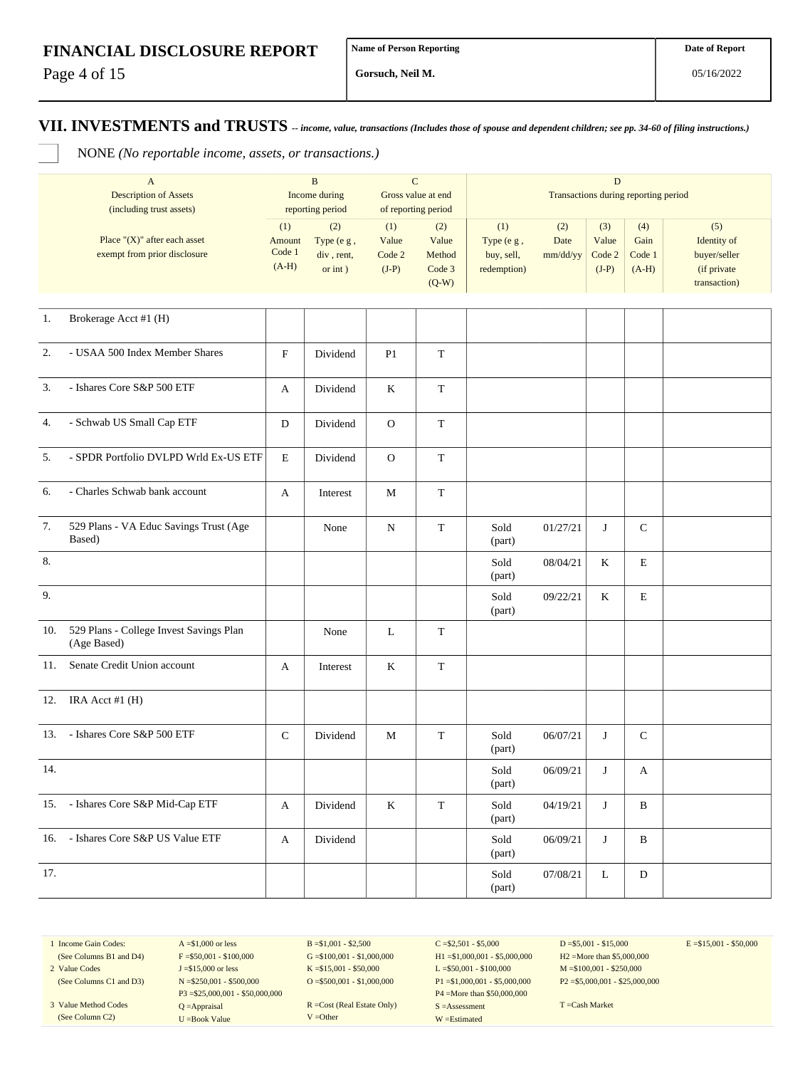Page 4 of 15

**Gorsuch, Neil M.**

# **VII. INVESTMENTS and TRUSTS** *-- income, value, transactions (Includes those of spouse and dependent children; see pp. 34-60 of filing instructions.)*

NONE *(No reportable income, assets, or transactions.)*

|     | $\mathbf{A}$<br><b>Description of Assets</b><br>(including trust assets) | $\mathbf B$<br>Income during<br>reporting period |                                            | $\mathbf C$<br>Gross value at end<br>of reporting period |                                             | $\mathbf D$<br>Transactions during reporting period |                         |                                   |                                  |                                                                   |
|-----|--------------------------------------------------------------------------|--------------------------------------------------|--------------------------------------------|----------------------------------------------------------|---------------------------------------------|-----------------------------------------------------|-------------------------|-----------------------------------|----------------------------------|-------------------------------------------------------------------|
|     | Place " $(X)$ " after each asset<br>exempt from prior disclosure         | (1)<br>Amount<br>Code 1<br>$(A-H)$               | (2)<br>Type (e g,<br>div, rent,<br>or int) | (1)<br>Value<br>Code 2<br>$(J-P)$                        | (2)<br>Value<br>Method<br>Code 3<br>$(Q-W)$ | (1)<br>Type (e g,<br>buy, sell,<br>redemption)      | (2)<br>Date<br>mm/dd/yy | (3)<br>Value<br>Code 2<br>$(J-P)$ | (4)<br>Gain<br>Code 1<br>$(A-H)$ | (5)<br>Identity of<br>buyer/seller<br>(if private<br>transaction) |
| 1.  | Brokerage Acct #1 (H)                                                    |                                                  |                                            |                                                          |                                             |                                                     |                         |                                   |                                  |                                                                   |
| 2.  | - USAA 500 Index Member Shares                                           | $\boldsymbol{\mathrm{F}}$                        | Dividend                                   | P <sub>1</sub>                                           | $\mathbf T$                                 |                                                     |                         |                                   |                                  |                                                                   |
| 3.  | - Ishares Core S&P 500 ETF                                               | A                                                | Dividend                                   | K                                                        | $\mathbf T$                                 |                                                     |                         |                                   |                                  |                                                                   |
| 4.  | - Schwab US Small Cap ETF                                                | D                                                | Dividend                                   | $\mathbf{O}$                                             | T                                           |                                                     |                         |                                   |                                  |                                                                   |
| 5.  | - SPDR Portfolio DVLPD Wrld Ex-US ETF                                    | $\mathbf E$                                      | Dividend                                   | $\mathbf{O}$                                             | $\mathbf T$                                 |                                                     |                         |                                   |                                  |                                                                   |
| 6.  | - Charles Schwab bank account                                            | A                                                | Interest                                   | M                                                        | $\mathbf T$                                 |                                                     |                         |                                   |                                  |                                                                   |
| 7.  | 529 Plans - VA Educ Savings Trust (Age<br>Based)                         |                                                  | None                                       | N                                                        | $\mathbf T$                                 | Sold<br>(part)                                      | 01/27/21                | J                                 | $\mathsf{C}$                     |                                                                   |
| 8.  |                                                                          |                                                  |                                            |                                                          |                                             | Sold<br>(part)                                      | 08/04/21                | K                                 | E                                |                                                                   |
| 9.  |                                                                          |                                                  |                                            |                                                          |                                             | Sold<br>(part)                                      | 09/22/21                | K                                 | E                                |                                                                   |
| 10. | 529 Plans - College Invest Savings Plan<br>(Age Based)                   |                                                  | None                                       | L                                                        | T                                           |                                                     |                         |                                   |                                  |                                                                   |
| 11. | Senate Credit Union account                                              | A                                                | Interest                                   | K                                                        | $\mathbf T$                                 |                                                     |                         |                                   |                                  |                                                                   |
| 12. | IRA Acct #1 (H)                                                          |                                                  |                                            |                                                          |                                             |                                                     |                         |                                   |                                  |                                                                   |
|     | 13. - Ishares Core S&P 500 ETF                                           | $\mathsf{C}$                                     | Dividend                                   | M                                                        | $\mathbf T$                                 | Sold<br>(part)                                      | 06/07/21                | J                                 | $\mathbf C$                      |                                                                   |
| 14. |                                                                          |                                                  |                                            |                                                          |                                             | Sold<br>(part)                                      | 06/09/21                | J                                 | A                                |                                                                   |
|     | 15. - Ishares Core S&P Mid-Cap ETF                                       | A                                                | Dividend                                   | $\rm K$                                                  | $\mathbf T$                                 | Sold<br>(part)                                      | 04/19/21                | $\mathbf{J}$                      | $\, {\bf B}$                     |                                                                   |
|     | 16. - Ishares Core S&P US Value ETF                                      | A                                                | Dividend                                   |                                                          |                                             | Sold<br>(part)                                      | 06/09/21                | J                                 | B                                |                                                                   |
| 17. |                                                                          |                                                  |                                            |                                                          |                                             | Sold<br>(part)                                      | 07/08/21                | $\mathbf L$                       | ${\bf D}$                        |                                                                   |

1 Income Gain Codes: (See Columns B1 and D4)

2 Value Codes (See Columns C1 and D3)

3 Value Method Codes (See Column C2)

 $A = $1,000$  or less  $F = $50,001 - $100,000$ J =\$15,000 or less N =\$250,001 - \$500,000 P3 =\$25,000,001 - \$50,000,000 Q =Appraisal U =Book Value

 $B = $1,001 - $2,500$  $G = $100,001 - $1,000,000$ K =\$15,001 - \$50,000 O =  $$500,001 - $1,000,000$ 

R =Cost (Real Estate Only) V =Other

 $C = $2,501 - $5,000$ H1 =\$1,000,001 - \$5,000,000 L =\$50,001 - \$100,000 P1 =\$1,000,001 - \$5,000,000 P4 =More than \$50,000,000 S =Assessment W =Estimated

 $D = $5,001 - $15,000$ H2 =More than \$5,000,000 M =\$100,001 - \$250,000 P2 =\$5,000,001 - \$25,000,000  $E = $15,001 - $50,000$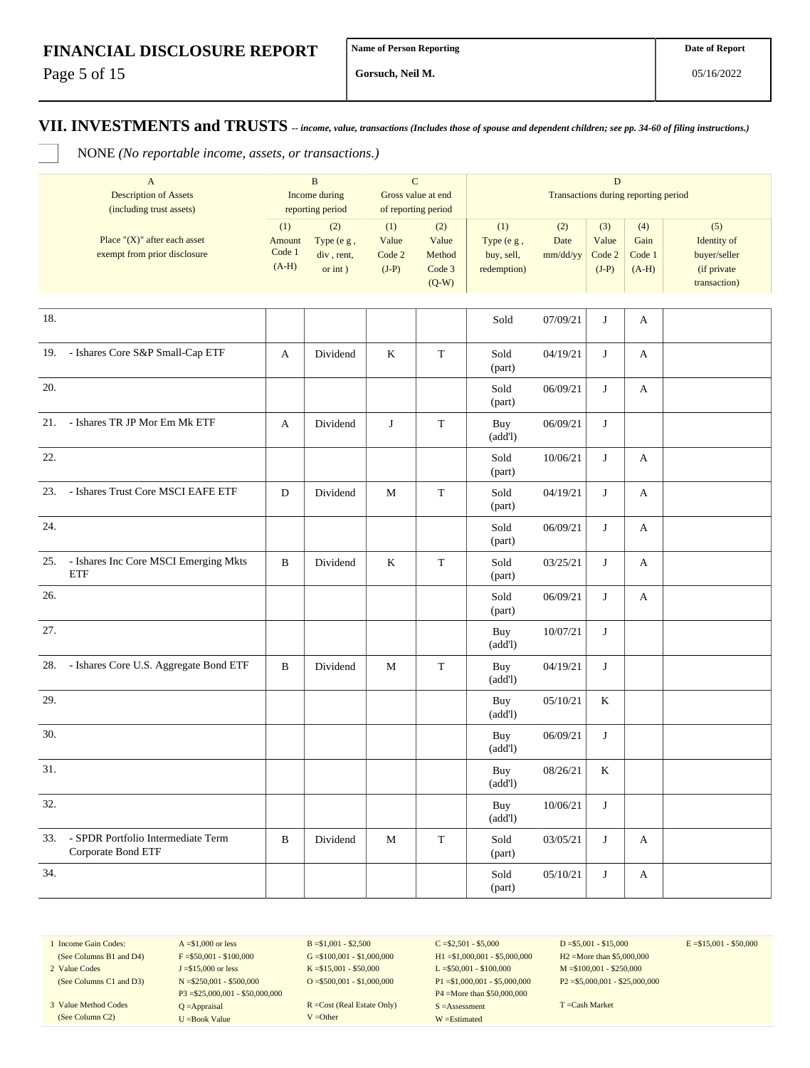Page 5 of 15

**Gorsuch, Neil M.**

**VII. INVESTMENTS and TRUSTS** *-- income, value, transactions (Includes those of spouse and dependent children; see pp. 34-60 of filing instructions.)*

NONE *(No reportable income, assets, or transactions.)*

|     | $\mathbf{A}$<br><b>Description of Assets</b><br>(including trust assets) | $\, {\bf B}$<br>Income during<br>reporting period |                                            | ${\bf C}$<br>Gross value at end<br>of reporting period |                                             | $\mathbf D$<br>Transactions during reporting period |                         |                                   |                                  |                                                                   |
|-----|--------------------------------------------------------------------------|---------------------------------------------------|--------------------------------------------|--------------------------------------------------------|---------------------------------------------|-----------------------------------------------------|-------------------------|-----------------------------------|----------------------------------|-------------------------------------------------------------------|
|     | Place " $(X)$ " after each asset<br>exempt from prior disclosure         | (1)<br>Amount<br>Code 1<br>$(A-H)$                | (2)<br>Type (e g,<br>div, rent,<br>or int) | (1)<br>Value<br>Code 2<br>$(J-P)$                      | (2)<br>Value<br>Method<br>Code 3<br>$(Q-W)$ | (1)<br>Type (e g,<br>buy, sell,<br>redemption)      | (2)<br>Date<br>mm/dd/yy | (3)<br>Value<br>Code 2<br>$(J-P)$ | (4)<br>Gain<br>Code 1<br>$(A-H)$ | (5)<br>Identity of<br>buyer/seller<br>(if private<br>transaction) |
| 18. |                                                                          |                                                   |                                            |                                                        |                                             | Sold                                                | 07/09/21                | J                                 | A                                |                                                                   |
|     | 19. - Ishares Core S&P Small-Cap ETF                                     | A                                                 | Dividend                                   | $\rm K$                                                | $\mathbf T$                                 | Sold<br>(part)                                      | 04/19/21                | J                                 | A                                |                                                                   |
| 20. |                                                                          |                                                   |                                            |                                                        |                                             | Sold<br>(part)                                      | 06/09/21                | J                                 | A                                |                                                                   |
| 21. | - Ishares TR JP Mor Em Mk ETF                                            | A                                                 | Dividend                                   | J                                                      | $\mathbf T$                                 | Buy<br>(add!)                                       | 06/09/21                | J                                 |                                  |                                                                   |
| 22. |                                                                          |                                                   |                                            |                                                        |                                             | Sold<br>(part)                                      | 10/06/21                | J                                 | A                                |                                                                   |
| 23. | - Ishares Trust Core MSCI EAFE ETF                                       | ${\bf D}$                                         | Dividend                                   | M                                                      | $\mathbf T$                                 | Sold<br>(part)                                      | 04/19/21                | J                                 | A                                |                                                                   |
| 24. |                                                                          |                                                   |                                            |                                                        |                                             | Sold<br>(part)                                      | 06/09/21                | J                                 | A                                |                                                                   |
| 25. | - Ishares Inc Core MSCI Emerging Mkts<br><b>ETF</b>                      | B                                                 | Dividend                                   | K                                                      | $\mathbf T$                                 | Sold<br>(part)                                      | 03/25/21                | J                                 | A                                |                                                                   |
| 26. |                                                                          |                                                   |                                            |                                                        |                                             | Sold<br>(part)                                      | 06/09/21                | J                                 | A                                |                                                                   |
| 27. |                                                                          |                                                   |                                            |                                                        |                                             | Buy<br>(add!)                                       | 10/07/21                | J                                 |                                  |                                                                   |
| 28. | - Ishares Core U.S. Aggregate Bond ETF                                   | B                                                 | Dividend                                   | М                                                      | $\mathbf T$                                 | Buy<br>(add!)                                       | 04/19/21                | J                                 |                                  |                                                                   |
| 29. |                                                                          |                                                   |                                            |                                                        |                                             | Buy<br>(add!)                                       | 05/10/21                | K                                 |                                  |                                                                   |
| 30. |                                                                          |                                                   |                                            |                                                        |                                             | Buy<br>(add!)                                       | 06/09/21                | J                                 |                                  |                                                                   |
| 31. |                                                                          |                                                   |                                            |                                                        |                                             | Buy<br>(add!)                                       | 08/26/21                | K                                 |                                  |                                                                   |
| 32. |                                                                          |                                                   |                                            |                                                        |                                             | Buy<br>(add!)                                       | 10/06/21                | J                                 |                                  |                                                                   |
| 33. | - SPDR Portfolio Intermediate Term<br>Corporate Bond ETF                 | $\, {\bf B}$                                      | Dividend                                   | $\mathbf M$                                            | $\mathbf T$                                 | Sold<br>(part)                                      | 03/05/21                | J                                 | A                                |                                                                   |
| 34. |                                                                          |                                                   |                                            |                                                        |                                             | Sold<br>(part)                                      | 05/10/21                | J                                 | A                                |                                                                   |

1 Income Gain Codes: (See Columns B1 and D4)

2 Value Codes (See Columns C1 and D3)

3 Value Method Codes (See Column C2)

 $A = $1,000$  or less  $F = $50,001 - $100,000$ J =\$15,000 or less N =\$250,001 - \$500,000 P3 =\$25,000,001 - \$50,000,000 Q =Appraisal U =Book Value

 $B = $1,001 - $2,500$  $G = $100,001 - $1,000,000$ K =\$15,001 - \$50,000 O =  $$500,001 - $1,000,000$ 

R =Cost (Real Estate Only) V =Other

 $C = $2,501 - $5,000$ H1 =\$1,000,001 - \$5,000,000 L =\$50,001 - \$100,000 P1 =\$1,000,001 - \$5,000,000 P4 =More than \$50,000,000 S =Assessment W =Estimated

 $D = $5,001 - $15,000$ H2 =More than \$5,000,000 M =\$100,001 - \$250,000 P2 =\$5,000,001 - \$25,000,000  $E = $15,001 - $50,000$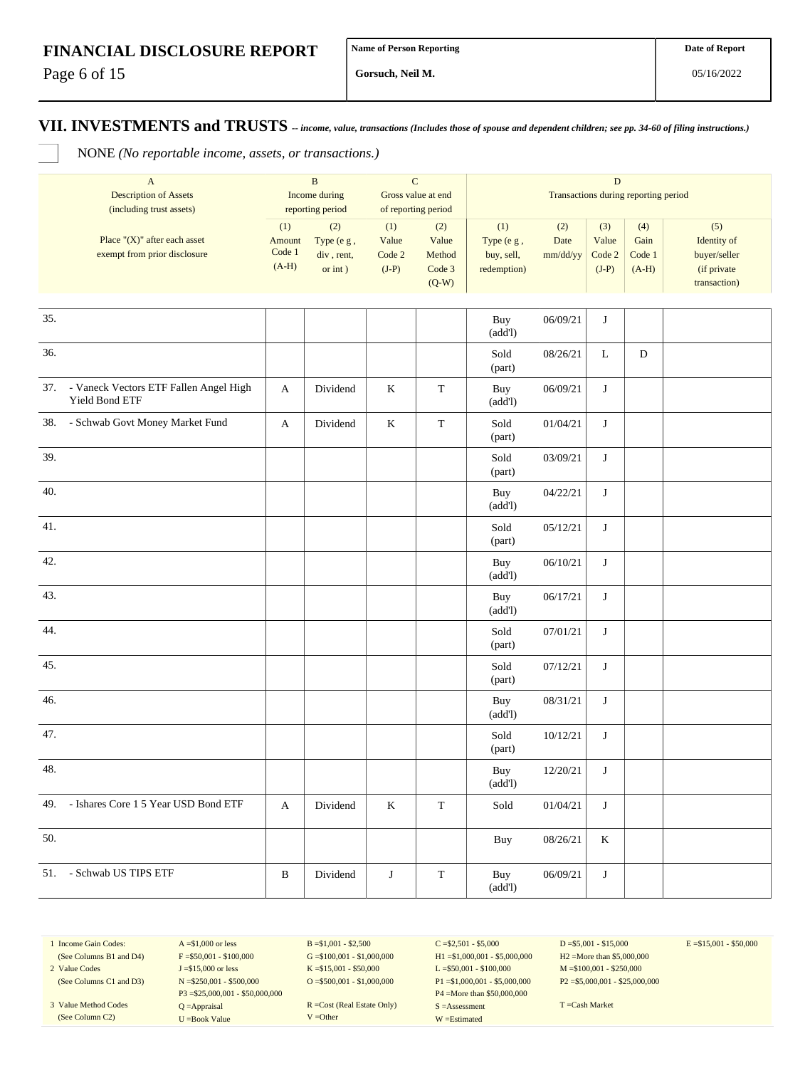Page 6 of 15

**Gorsuch, Neil M.**

**VII. INVESTMENTS and TRUSTS** *-- income, value, transactions (Includes those of spouse and dependent children; see pp. 34-60 of filing instructions.)*

NONE *(No reportable income, assets, or transactions.)*

|     | $\mathbf{A}$<br><b>Description of Assets</b><br>(including trust assets) |                                    | $\, {\bf B}$<br>$\mathbf C$<br>Income during<br>Gross value at end<br>reporting period<br>of reporting period |                                   | $\mathbf D$<br>Transactions during reporting period |                                                |                         |                                   |                                  |                                                                   |
|-----|--------------------------------------------------------------------------|------------------------------------|---------------------------------------------------------------------------------------------------------------|-----------------------------------|-----------------------------------------------------|------------------------------------------------|-------------------------|-----------------------------------|----------------------------------|-------------------------------------------------------------------|
|     | Place " $(X)$ " after each asset<br>exempt from prior disclosure         | (1)<br>Amount<br>Code 1<br>$(A-H)$ | (2)<br>Type (e g,<br>div, rent,<br>or $int$ )                                                                 | (1)<br>Value<br>Code 2<br>$(J-P)$ | (2)<br>Value<br>Method<br>Code 3<br>$(Q-W)$         | (1)<br>Type (e g,<br>buy, sell,<br>redemption) | (2)<br>Date<br>mm/dd/yy | (3)<br>Value<br>Code 2<br>$(J-P)$ | (4)<br>Gain<br>Code 1<br>$(A-H)$ | (5)<br>Identity of<br>buyer/seller<br>(if private<br>transaction) |
| 35. |                                                                          |                                    |                                                                                                               |                                   |                                                     |                                                |                         |                                   |                                  |                                                                   |
|     |                                                                          |                                    |                                                                                                               |                                   |                                                     | Buy<br>(add!)                                  | 06/09/21                | J                                 |                                  |                                                                   |
| 36. |                                                                          |                                    |                                                                                                               |                                   |                                                     | Sold<br>(part)                                 | 08/26/21                | $\bf L$                           | $\mathbf D$                      |                                                                   |
| 37. | - Vaneck Vectors ETF Fallen Angel High<br>Yield Bond ETF                 | A                                  | Dividend                                                                                                      | $\bf K$                           | $\mathbf T$                                         | Buy<br>(add!)                                  | 06/09/21                | J                                 |                                  |                                                                   |
| 38. | - Schwab Govt Money Market Fund                                          | A                                  | Dividend                                                                                                      | $\bf K$                           | $\mathbf T$                                         | Sold<br>(part)                                 | 01/04/21                | J                                 |                                  |                                                                   |
| 39. |                                                                          |                                    |                                                                                                               |                                   |                                                     | Sold<br>(part)                                 | 03/09/21                | $\bf J$                           |                                  |                                                                   |
| 40. |                                                                          |                                    |                                                                                                               |                                   |                                                     | Buy<br>(add!)                                  | 04/22/21                | $\bf J$                           |                                  |                                                                   |
| 41. |                                                                          |                                    |                                                                                                               |                                   |                                                     | Sold<br>(part)                                 | 05/12/21                | J                                 |                                  |                                                                   |
| 42. |                                                                          |                                    |                                                                                                               |                                   |                                                     | Buy<br>(add!)                                  | 06/10/21                | J                                 |                                  |                                                                   |
| 43. |                                                                          |                                    |                                                                                                               |                                   |                                                     | Buy<br>(add!)                                  | 06/17/21                | J                                 |                                  |                                                                   |
| 44. |                                                                          |                                    |                                                                                                               |                                   |                                                     | Sold<br>(part)                                 | 07/01/21                | J                                 |                                  |                                                                   |
| 45. |                                                                          |                                    |                                                                                                               |                                   |                                                     | Sold<br>(part)                                 | 07/12/21                | $\bf J$                           |                                  |                                                                   |
| 46. |                                                                          |                                    |                                                                                                               |                                   |                                                     | Buy<br>(add!)                                  | 08/31/21                | $\bf J$                           |                                  |                                                                   |
| 47. |                                                                          |                                    |                                                                                                               |                                   |                                                     | Sold<br>(part)                                 | 10/12/21                | $\bf J$                           |                                  |                                                                   |
| 48. |                                                                          |                                    |                                                                                                               |                                   |                                                     | <b>Buy</b><br>(add!)                           | 12/20/21                | J                                 |                                  |                                                                   |
| 49. | - Ishares Core 1 5 Year USD Bond ETF                                     | A                                  | Dividend                                                                                                      | $\rm K$                           | $\mathbf T$                                         | Sold                                           | 01/04/21                | J                                 |                                  |                                                                   |
| 50. |                                                                          |                                    |                                                                                                               |                                   |                                                     | Buy                                            | 08/26/21                | K                                 |                                  |                                                                   |
|     | 51. - Schwab US TIPS ETF                                                 | $\, {\bf B}$                       | Dividend                                                                                                      | J                                 | $\mathbf T$                                         | Buy<br>(add!)                                  | 06/09/21                | J                                 |                                  |                                                                   |

1 Income Gain Codes: (See Columns B1 and D4)

2 Value Codes (See Columns C1 and D3)

3 Value Method Codes (See Column C2)

 $A = $1,000$  or less  $F = $50,001 - $100,000$ J =\$15,000 or less N =\$250,001 - \$500,000 P3 =\$25,000,001 - \$50,000,000 Q =Appraisal U =Book Value

 $B = $1,001 - $2,500$  $G = $100,001 - $1,000,000$ K =\$15,001 - \$50,000 O =  $$500,001 - $1,000,000$ 

R =Cost (Real Estate Only) V =Other

 $C = $2,501 - $5,000$ H1 =\$1,000,001 - \$5,000,000 L =\$50,001 - \$100,000 P1 =\$1,000,001 - \$5,000,000 P4 =More than \$50,000,000 S =Assessment W =Estimated

 $D = $5,001 - $15,000$ H2 =More than \$5,000,000 M =\$100,001 - \$250,000 P2 =\$5,000,001 - \$25,000,000  $E = $15,001 - $50,000$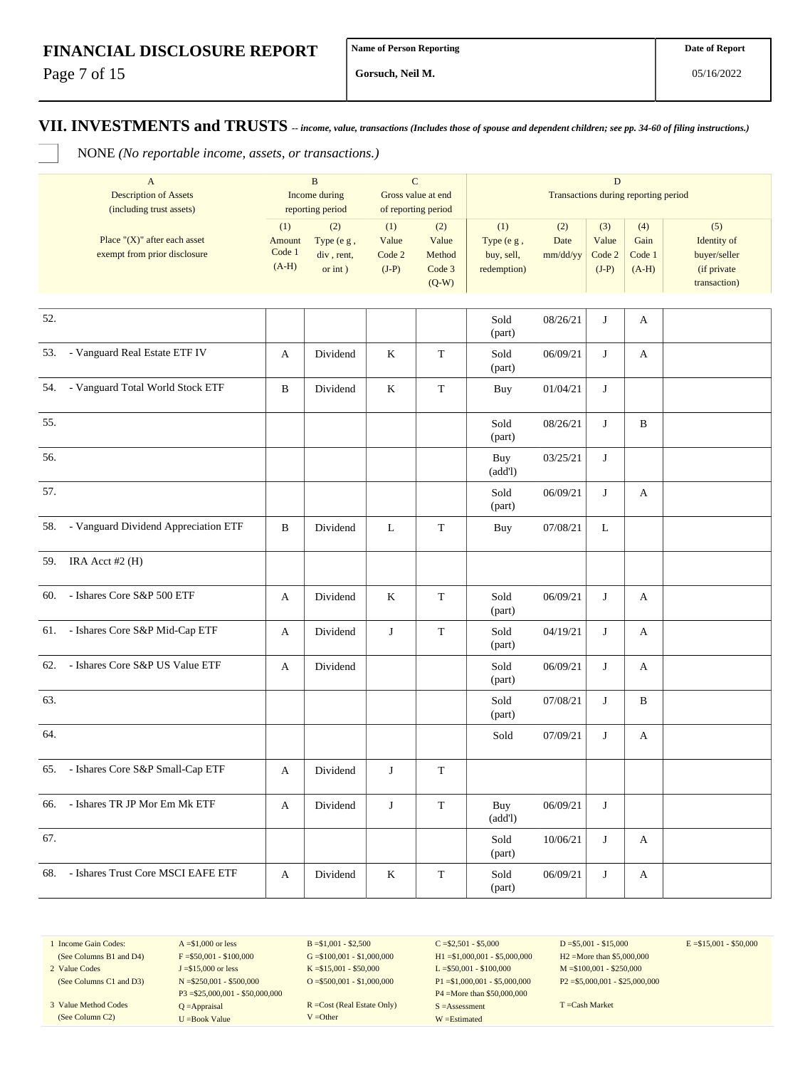Page 7 of 15

**Gorsuch, Neil M.**

**VII. INVESTMENTS and TRUSTS** *-- income, value, transactions (Includes those of spouse and dependent children; see pp. 34-60 of filing instructions.)*

NONE *(No reportable income, assets, or transactions.)*

|     | $\mathbf{A}$<br><b>Description of Assets</b><br>(including trust assets) |                                    | $\, {\bf B}$<br>Income during<br>reporting period | $\mathbf C$<br>Gross value at end<br>of reporting period |                                             |                                                | $\mathbf D$<br>Transactions during reporting period |                                   |                                  |                                                                   |  |
|-----|--------------------------------------------------------------------------|------------------------------------|---------------------------------------------------|----------------------------------------------------------|---------------------------------------------|------------------------------------------------|-----------------------------------------------------|-----------------------------------|----------------------------------|-------------------------------------------------------------------|--|
|     | Place " $(X)$ " after each asset<br>exempt from prior disclosure         | (1)<br>Amount<br>Code 1<br>$(A-H)$ | (2)<br>Type (e g,<br>div, rent,<br>or $int$ )     | (1)<br>Value<br>Code 2<br>$(J-P)$                        | (2)<br>Value<br>Method<br>Code 3<br>$(Q-W)$ | (1)<br>Type (e g,<br>buy, sell,<br>redemption) | (2)<br>Date<br>mm/dd/yy                             | (3)<br>Value<br>Code 2<br>$(J-P)$ | (4)<br>Gain<br>Code 1<br>$(A-H)$ | (5)<br>Identity of<br>buyer/seller<br>(if private<br>transaction) |  |
| 52. |                                                                          |                                    |                                                   |                                                          |                                             | Sold<br>(part)                                 | 08/26/21                                            | J                                 | A                                |                                                                   |  |
|     | 53. - Vanguard Real Estate ETF IV                                        | A                                  | Dividend                                          | $\rm K$                                                  | $\mathbf T$                                 | Sold<br>(part)                                 | 06/09/21                                            | J                                 | A                                |                                                                   |  |
|     | 54. - Vanguard Total World Stock ETF                                     | B                                  | Dividend                                          | $\rm K$                                                  | $\mathbf T$                                 | Buy                                            | 01/04/21                                            | J                                 |                                  |                                                                   |  |
| 55. |                                                                          |                                    |                                                   |                                                          |                                             | Sold<br>(part)                                 | 08/26/21                                            | J                                 | $\, {\bf B}$                     |                                                                   |  |
| 56. |                                                                          |                                    |                                                   |                                                          |                                             | Buy<br>(add!)                                  | 03/25/21                                            | J                                 |                                  |                                                                   |  |
| 57. |                                                                          |                                    |                                                   |                                                          |                                             | Sold<br>(part)                                 | 06/09/21                                            | J                                 | A                                |                                                                   |  |
|     | 58. - Vanguard Dividend Appreciation ETF                                 | B                                  | Dividend                                          | L                                                        | $\mathbf T$                                 | Buy                                            | 07/08/21                                            | L                                 |                                  |                                                                   |  |
|     | 59. IRA Acct #2 (H)                                                      |                                    |                                                   |                                                          |                                             |                                                |                                                     |                                   |                                  |                                                                   |  |
|     | 60. - Ishares Core S&P 500 ETF                                           | A                                  | Dividend                                          | $\rm K$                                                  | $\mathbf T$                                 | Sold<br>(part)                                 | 06/09/21                                            | J                                 | A                                |                                                                   |  |
|     | 61. - Ishares Core S&P Mid-Cap ETF                                       | A                                  | Dividend                                          | J                                                        | $\mathbf T$                                 | Sold<br>(part)                                 | 04/19/21                                            | J                                 | A                                |                                                                   |  |
|     | 62. - Ishares Core S&P US Value ETF                                      | A                                  | Dividend                                          |                                                          |                                             | Sold<br>(part)                                 | 06/09/21                                            | J                                 | A                                |                                                                   |  |
| 63. |                                                                          |                                    |                                                   |                                                          |                                             | Sold<br>(part)                                 | 07/08/21                                            | J                                 | B                                |                                                                   |  |
| 64. |                                                                          |                                    |                                                   |                                                          |                                             | Sold                                           | 07/09/21                                            | J                                 | A                                |                                                                   |  |
|     | 65. - Ishares Core S&P Small-Cap ETF                                     | A                                  | Dividend                                          | J                                                        | ${\bf T}$                                   |                                                |                                                     |                                   |                                  |                                                                   |  |
|     | 66. - Ishares TR JP Mor Em Mk ETF                                        | A                                  | Dividend                                          | J                                                        | $\mathbf T$                                 | Buy<br>(add!)                                  | 06/09/21                                            | J                                 |                                  |                                                                   |  |
| 67. |                                                                          |                                    |                                                   |                                                          |                                             | Sold<br>(part)                                 | 10/06/21                                            | J                                 | A                                |                                                                   |  |
|     | 68. - Ishares Trust Core MSCI EAFE ETF                                   | A                                  | Dividend                                          | $\rm K$                                                  | $\mathbf T$                                 | Sold<br>(part)                                 | 06/09/21                                            | J                                 | A                                |                                                                   |  |

1 Income Gain Codes: (See Columns B1 and D4)

2 Value Codes (See Columns C1 and D3)

3 Value Method Codes (See Column C2)

 $A = $1,000$  or less  $F = $50,001 - $100,000$ J =\$15,000 or less N =\$250,001 - \$500,000 P3 =\$25,000,001 - \$50,000,000 Q =Appraisal U =Book Value

 $B = $1,001 - $2,500$  $G = $100,001 - $1,000,000$ K =\$15,001 - \$50,000 O =  $$500,001 - $1,000,000$ 

R =Cost (Real Estate Only) V =Other

 $C = $2,501 - $5,000$ H1 =\$1,000,001 - \$5,000,000 L =\$50,001 - \$100,000 P1 =\$1,000,001 - \$5,000,000 P4 =More than \$50,000,000 S =Assessment W =Estimated

 $D = $5,001 - $15,000$ H2 =More than \$5,000,000 M =\$100,001 - \$250,000 P2 =\$5,000,001 - \$25,000,000  $E = $15,001 - $50,000$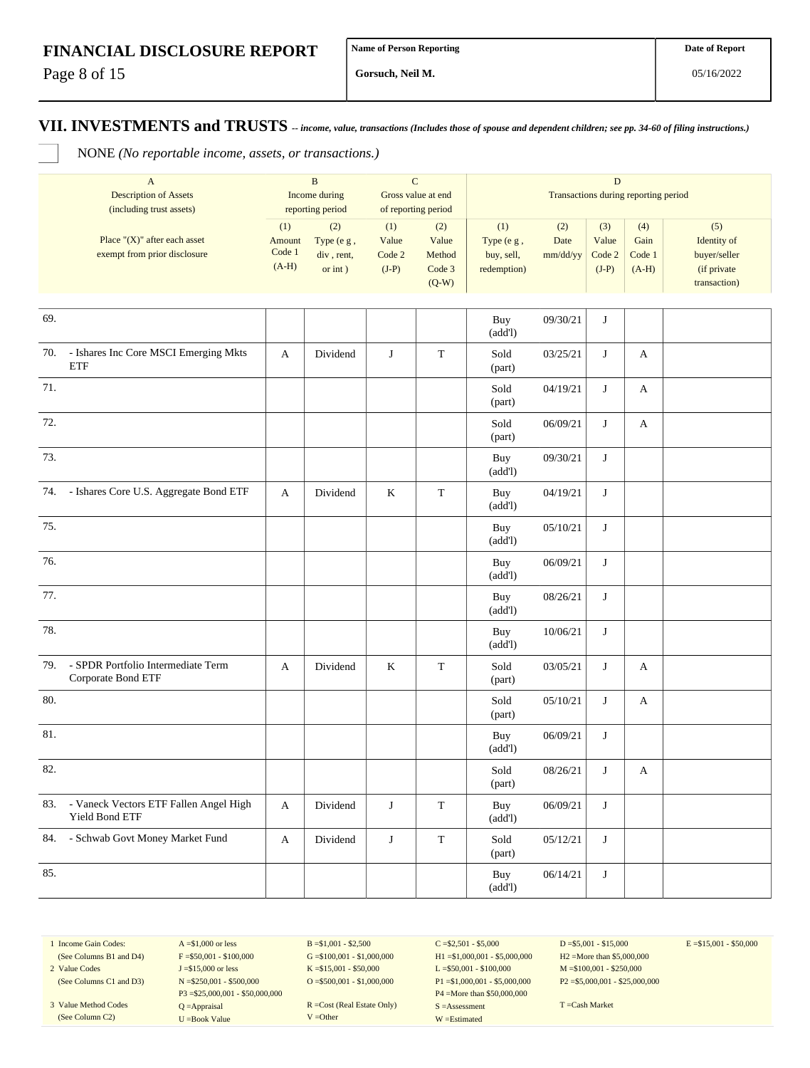Page 8 of 15

**Gorsuch, Neil M.**

**VII. INVESTMENTS and TRUSTS** *-- income, value, transactions (Includes those of spouse and dependent children; see pp. 34-60 of filing instructions.)*

NONE *(No reportable income, assets, or transactions.)*

|     | $\mathbf{A}$<br><b>Description of Assets</b><br>(including trust assets) | $\, {\bf B}$<br>Income during<br>reporting period |                                               | $\mathbf C$<br>Gross value at end<br>of reporting period |                                             | $\mathbf D$<br>Transactions during reporting period |                         |                                   |                                  |                                                                   |  |
|-----|--------------------------------------------------------------------------|---------------------------------------------------|-----------------------------------------------|----------------------------------------------------------|---------------------------------------------|-----------------------------------------------------|-------------------------|-----------------------------------|----------------------------------|-------------------------------------------------------------------|--|
|     | Place " $(X)$ " after each asset<br>exempt from prior disclosure         | (1)<br>Amount<br>Code 1<br>$(A-H)$                | (2)<br>Type (e g,<br>div, rent,<br>or $int$ ) | (1)<br>Value<br>Code 2<br>$(J-P)$                        | (2)<br>Value<br>Method<br>Code 3<br>$(Q-W)$ | (1)<br>Type (e g,<br>buy, sell,<br>redemption)      | (2)<br>Date<br>mm/dd/yy | (3)<br>Value<br>Code 2<br>$(J-P)$ | (4)<br>Gain<br>Code 1<br>$(A-H)$ | (5)<br>Identity of<br>buyer/seller<br>(if private<br>transaction) |  |
| 69. |                                                                          |                                                   |                                               |                                                          |                                             | Buy<br>(add!)                                       | 09/30/21                | J                                 |                                  |                                                                   |  |
| 70. | - Ishares Inc Core MSCI Emerging Mkts<br>ETF                             | A                                                 | Dividend                                      | J                                                        | $\mathbf T$                                 | Sold<br>(part)                                      | 03/25/21                | J                                 | A                                |                                                                   |  |
| 71. |                                                                          |                                                   |                                               |                                                          |                                             | Sold<br>(part)                                      | 04/19/21                | J                                 | A                                |                                                                   |  |
| 72. |                                                                          |                                                   |                                               |                                                          |                                             | Sold<br>(part)                                      | 06/09/21                | J                                 | A                                |                                                                   |  |
| 73. |                                                                          |                                                   |                                               |                                                          |                                             | Buy<br>(add!)                                       | 09/30/21                | J                                 |                                  |                                                                   |  |
| 74. | - Ishares Core U.S. Aggregate Bond ETF                                   | A                                                 | Dividend                                      | $\rm K$                                                  | $\mathbf T$                                 | Buy<br>(add!)                                       | 04/19/21                | J                                 |                                  |                                                                   |  |
| 75. |                                                                          |                                                   |                                               |                                                          |                                             | Buy<br>(add!)                                       | 05/10/21                | J                                 |                                  |                                                                   |  |
| 76. |                                                                          |                                                   |                                               |                                                          |                                             | Buy<br>(add!)                                       | 06/09/21                | J                                 |                                  |                                                                   |  |
| 77. |                                                                          |                                                   |                                               |                                                          |                                             | Buy<br>(add!)                                       | 08/26/21                | J                                 |                                  |                                                                   |  |
| 78. |                                                                          |                                                   |                                               |                                                          |                                             | Buy<br>(add!)                                       | 10/06/21                | J                                 |                                  |                                                                   |  |
| 79. | - SPDR Portfolio Intermediate Term<br>Corporate Bond ETF                 | A                                                 | Dividend                                      | K                                                        | $\mathbf T$                                 | Sold<br>(part)                                      | 03/05/21                | J                                 | A                                |                                                                   |  |
| 80. |                                                                          |                                                   |                                               |                                                          |                                             | Sold<br>(part)                                      | 05/10/21                | J                                 | A                                |                                                                   |  |
| 81. |                                                                          |                                                   |                                               |                                                          |                                             | Buy<br>(add!)                                       | 06/09/21                | J                                 |                                  |                                                                   |  |
| 82. |                                                                          |                                                   |                                               |                                                          |                                             | Sold<br>(part)                                      | 08/26/21                | J                                 | A                                |                                                                   |  |
| 83. | - Vaneck Vectors ETF Fallen Angel High<br>Yield Bond ETF                 | A                                                 | Dividend                                      | $\bf J$                                                  | $\mathbf T$                                 | Buy<br>(add!)                                       | 06/09/21                | J                                 |                                  |                                                                   |  |
| 84. | - Schwab Govt Money Market Fund                                          | A                                                 | Dividend                                      | $\bf J$                                                  | $\mathbf T$                                 | Sold<br>(part)                                      | 05/12/21                | J                                 |                                  |                                                                   |  |
| 85. |                                                                          |                                                   |                                               |                                                          |                                             | Buy<br>(add!)                                       | 06/14/21                | J                                 |                                  |                                                                   |  |

1 Income Gain Codes: (See Columns B1 and D4)

2 Value Codes (See Columns C1 and D3)

3 Value Method Codes (See Column C2)

 $F = $50,001 - $100,000$ J =\$15,000 or less N =\$250,001 - \$500,000 P3 =\$25,000,001 - \$50,000,000 Q =Appraisal U =Book Value

 $A = $1,000$  or less

 $B = $1,001 - $2,500$  $G = $100,001 - $1,000,000$ K =\$15,001 - \$50,000 O =  $$500,001 - $1,000,000$ 

R =Cost (Real Estate Only) V =Other

 $C = $2,501 - $5,000$ H1 =\$1,000,001 - \$5,000,000 L =\$50,001 - \$100,000 P1 =\$1,000,001 - \$5,000,000 P4 =More than \$50,000,000 S =Assessment W =Estimated

 $D = $5,001 - $15,000$ H2 =More than \$5,000,000 M =\$100,001 - \$250,000 P2 =\$5,000,001 - \$25,000,000  $E = $15,001 - $50,000$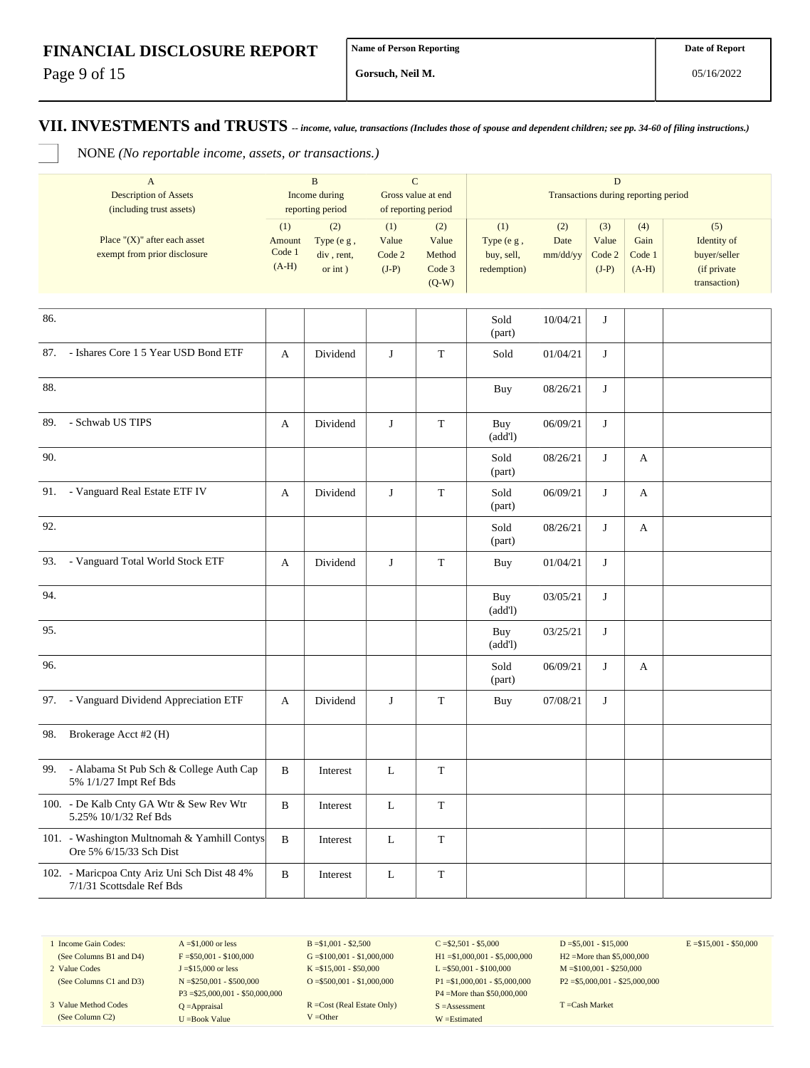Page 9 of 15

**Gorsuch, Neil M.**

**VII. INVESTMENTS and TRUSTS** *-- income, value, transactions (Includes those of spouse and dependent children; see pp. 34-60 of filing instructions.)*

NONE *(No reportable income, assets, or transactions.)*

|     | $\mathbf{A}$                                 | $\mathbf B$   |                  | $\mathbf C$        |                     | $\mathbf D$                          |          |         |         |              |  |
|-----|----------------------------------------------|---------------|------------------|--------------------|---------------------|--------------------------------------|----------|---------|---------|--------------|--|
|     | <b>Description of Assets</b>                 | Income during |                  | Gross value at end |                     | Transactions during reporting period |          |         |         |              |  |
|     | (including trust assets)                     |               | reporting period |                    | of reporting period |                                      |          |         |         |              |  |
|     |                                              | (1)           | (2)              | (1)                | (2)                 | (1)                                  | (2)      | (3)     | (4)     | (5)          |  |
|     | Place " $(X)$ " after each asset             | Amount        | Type (e g,       | Value              | Value               | Type (e g,                           | Date     | Value   | Gain    | Identity of  |  |
|     | exempt from prior disclosure                 | Code 1        | div, rent,       | Code 2             | Method              | buy, sell,                           | mm/dd/yy | Code 2  | Code 1  | buyer/seller |  |
|     |                                              | $(A-H)$       | or $int$ )       | $(J-P)$            | Code 3              | redemption)                          |          | $(J-P)$ | $(A-H)$ | (if private  |  |
|     |                                              |               |                  |                    |                     |                                      |          |         |         |              |  |
|     |                                              |               |                  |                    | $(Q-W)$             |                                      |          |         |         | transaction) |  |
|     |                                              |               |                  |                    |                     |                                      |          |         |         |              |  |
| 86. |                                              |               |                  |                    |                     | Sold                                 | 10/04/21 | J       |         |              |  |
|     |                                              |               |                  |                    |                     | (part)                               |          |         |         |              |  |
|     |                                              |               |                  |                    |                     |                                      |          |         |         |              |  |
| 87. | - Ishares Core 1 5 Year USD Bond ETF         | A             | Dividend         | $\bf J$            | $\mathbf T$         | Sold                                 | 01/04/21 | J       |         |              |  |
|     |                                              |               |                  |                    |                     |                                      |          |         |         |              |  |
| 88. |                                              |               |                  |                    |                     |                                      |          |         |         |              |  |
|     |                                              |               |                  |                    |                     | <b>Buy</b>                           | 08/26/21 | J       |         |              |  |
|     |                                              |               |                  |                    |                     |                                      |          |         |         |              |  |
| 89. | - Schwab US TIPS                             | A             | Dividend         | J                  | $\mathbf T$         | Buy                                  | 06/09/21 | J       |         |              |  |
|     |                                              |               |                  |                    |                     | (add!)                               |          |         |         |              |  |
|     |                                              |               |                  |                    |                     |                                      |          |         |         |              |  |
| 90. |                                              |               |                  |                    |                     | Sold                                 | 08/26/21 | J       | A       |              |  |
|     |                                              |               |                  |                    |                     | (part)                               |          |         |         |              |  |
| 91. | - Vanguard Real Estate ETF IV                | A             | Dividend         | J                  | $\mathbf T$         | Sold                                 | 06/09/21 | J       | A       |              |  |
|     |                                              |               |                  |                    |                     | (part)                               |          |         |         |              |  |
|     |                                              |               |                  |                    |                     |                                      |          |         |         |              |  |
| 92. |                                              |               |                  |                    |                     | Sold                                 | 08/26/21 | J       | A       |              |  |
|     |                                              |               |                  |                    |                     | (part)                               |          |         |         |              |  |
|     |                                              |               |                  |                    |                     |                                      |          |         |         |              |  |
| 93. | - Vanguard Total World Stock ETF             | A             | Dividend         | J                  | $\mathbf T$         | <b>Buy</b>                           | 01/04/21 | J       |         |              |  |
|     |                                              |               |                  |                    |                     |                                      |          |         |         |              |  |
| 94. |                                              |               |                  |                    |                     | Buy                                  | 03/05/21 | J       |         |              |  |
|     |                                              |               |                  |                    |                     | (add!)                               |          |         |         |              |  |
|     |                                              |               |                  |                    |                     |                                      |          |         |         |              |  |
| 95. |                                              |               |                  |                    |                     | Buy                                  | 03/25/21 | J       |         |              |  |
|     |                                              |               |                  |                    |                     | (add!)                               |          |         |         |              |  |
| 96. |                                              |               |                  |                    |                     | Sold                                 | 06/09/21 | J       | A       |              |  |
|     |                                              |               |                  |                    |                     |                                      |          |         |         |              |  |
|     |                                              |               |                  |                    |                     | (part)                               |          |         |         |              |  |
| 97. | - Vanguard Dividend Appreciation ETF         | A             | Dividend         | J                  | $\mathbf T$         | <b>Buy</b>                           | 07/08/21 | J       |         |              |  |
|     |                                              |               |                  |                    |                     |                                      |          |         |         |              |  |
|     |                                              |               |                  |                    |                     |                                      |          |         |         |              |  |
| 98. | Brokerage Acct #2 (H)                        |               |                  |                    |                     |                                      |          |         |         |              |  |
|     |                                              |               |                  |                    |                     |                                      |          |         |         |              |  |
| 99. | - Alabama St Pub Sch & College Auth Cap      | B             | Interest         | L                  | $\mathbf T$         |                                      |          |         |         |              |  |
|     | 5% 1/1/27 Impt Ref Bds                       |               |                  |                    |                     |                                      |          |         |         |              |  |
|     |                                              |               |                  |                    |                     |                                      |          |         |         |              |  |
|     | 100. - De Kalb Cnty GA Wtr & Sew Rev Wtr     | $\, {\bf B}$  | Interest         | L                  | $\mathbf T$         |                                      |          |         |         |              |  |
|     | 5.25% 10/1/32 Ref Bds                        |               |                  |                    |                     |                                      |          |         |         |              |  |
|     | 101. - Washington Multnomah & Yamhill Contys | $\, {\bf B}$  | Interest         |                    | $\mathbf T$         |                                      |          |         |         |              |  |
|     | Ore 5% 6/15/33 Sch Dist                      |               |                  | $\mathbf L$        |                     |                                      |          |         |         |              |  |
|     |                                              |               |                  |                    |                     |                                      |          |         |         |              |  |
|     | 102. - Maricpoa Cnty Ariz Uni Sch Dist 48 4% | $\, {\bf B}$  | Interest         | $\mathbf L$        | $\mathbf T$         |                                      |          |         |         |              |  |
|     | 7/1/31 Scottsdale Ref Bds                    |               |                  |                    |                     |                                      |          |         |         |              |  |

1 Income Gain Codes: (See Columns B1 and D4) 2 Value Codes

(See Column C2)

(See Columns C1 and D3) 3 Value Method Codes  $F = $50,001 - $100,000$ J =\$15,000 or less N =\$250,001 - \$500,000 P3 =\$25,000,001 - \$50,000,000 Q =Appraisal

 $A = $1,000$  or less

U =Book Value

 $B = $1,001 - $2,500$  $G = $100,001 - $1,000,000$ K =\$15,001 - \$50,000 O =  $$500,001 - $1,000,000$ 

R =Cost (Real Estate Only) V =Other

 $C = $2,501 - $5,000$ H1 =\$1,000,001 - \$5,000,000 L =\$50,001 - \$100,000 P1 =\$1,000,001 - \$5,000,000 P4 =More than \$50,000,000 S =Assessment W =Estimated

 $D = $5,001 - $15,000$ H2 =More than \$5,000,000 M =\$100,001 - \$250,000 P2 =\$5,000,001 - \$25,000,000  $E = $15,001 - $50,000$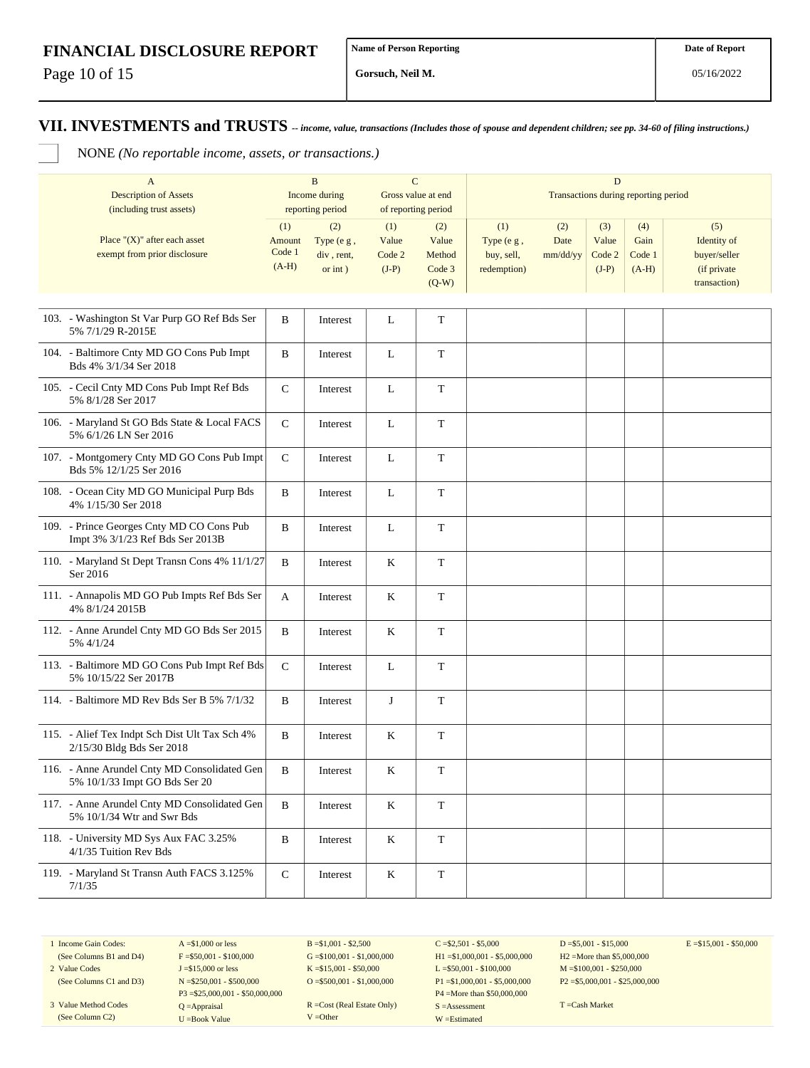Page 10 of 15

**Gorsuch, Neil M.**

**VII. INVESTMENTS and TRUSTS** *-- income, value, transactions (Includes those of spouse and dependent children; see pp. 34-60 of filing instructions.)*

NONE *(No reportable income, assets, or transactions.)*

| $\mathbf{A}$<br><b>Description of Assets</b><br>(including trust assets)      | $\bf{B}$<br>Income during<br>reporting period |                                            | $\mathbf C$<br>Gross value at end<br>of reporting period |                                             | D<br>Transactions during reporting period      |                         |                                   |                                  |                                                                   |  |
|-------------------------------------------------------------------------------|-----------------------------------------------|--------------------------------------------|----------------------------------------------------------|---------------------------------------------|------------------------------------------------|-------------------------|-----------------------------------|----------------------------------|-------------------------------------------------------------------|--|
| Place " $(X)$ " after each asset<br>exempt from prior disclosure              | (1)<br>Amount<br>Code 1<br>$(A-H)$            | (2)<br>Type (e g,<br>div, rent,<br>or int) | (1)<br>Value<br>Code 2<br>$(J-P)$                        | (2)<br>Value<br>Method<br>Code 3<br>$(Q-W)$ | (1)<br>Type (e g,<br>buy, sell,<br>redemption) | (2)<br>Date<br>mm/dd/yy | (3)<br>Value<br>Code 2<br>$(J-P)$ | (4)<br>Gain<br>Code 1<br>$(A-H)$ | (5)<br>Identity of<br>buyer/seller<br>(if private<br>transaction) |  |
| 103. - Washington St Var Purp GO Ref Bds Ser<br>5% 7/1/29 R-2015E             | B                                             | Interest                                   | L                                                        | $\mathbf T$                                 |                                                |                         |                                   |                                  |                                                                   |  |
| 104. - Baltimore Cnty MD GO Cons Pub Impt<br>Bds 4% 3/1/34 Ser 2018           | B                                             | Interest                                   | L                                                        | $\mathbf T$                                 |                                                |                         |                                   |                                  |                                                                   |  |
| 105. - Cecil Cnty MD Cons Pub Impt Ref Bds<br>5% 8/1/28 Ser 2017              | ${\bf C}$                                     | Interest                                   | L                                                        | $\mathbf T$                                 |                                                |                         |                                   |                                  |                                                                   |  |
| 106. - Maryland St GO Bds State & Local FACS<br>5% 6/1/26 LN Ser 2016         | ${\bf C}$                                     | Interest                                   | L                                                        | T                                           |                                                |                         |                                   |                                  |                                                                   |  |
| 107. - Montgomery Cnty MD GO Cons Pub Impt<br>Bds 5% 12/1/25 Ser 2016         | $\mathbf C$                                   | Interest                                   | L                                                        | T                                           |                                                |                         |                                   |                                  |                                                                   |  |
| 108. - Ocean City MD GO Municipal Purp Bds<br>4% 1/15/30 Ser 2018             | B                                             | Interest                                   | L                                                        | $\mathbf T$                                 |                                                |                         |                                   |                                  |                                                                   |  |
| 109. - Prince Georges Cnty MD CO Cons Pub<br>Impt 3% 3/1/23 Ref Bds Ser 2013B | B                                             | Interest                                   | L                                                        | T                                           |                                                |                         |                                   |                                  |                                                                   |  |
| 110. - Maryland St Dept Transn Cons 4% 11/1/27<br>Ser 2016                    | B                                             | Interest                                   | K                                                        | T                                           |                                                |                         |                                   |                                  |                                                                   |  |
| 111. - Annapolis MD GO Pub Impts Ref Bds Ser<br>4% 8/1/24 2015B               | A                                             | Interest                                   | K                                                        | T                                           |                                                |                         |                                   |                                  |                                                                   |  |
| 112. - Anne Arundel Cnty MD GO Bds Ser 2015<br>5% 4/1/24                      | B                                             | Interest                                   | K                                                        | $\mathbf T$                                 |                                                |                         |                                   |                                  |                                                                   |  |
| 113. - Baltimore MD GO Cons Pub Impt Ref Bds<br>5% 10/15/22 Ser 2017B         | $\mathbf C$                                   | Interest                                   | L                                                        | $\mathbf T$                                 |                                                |                         |                                   |                                  |                                                                   |  |
| 114. - Baltimore MD Rev Bds Ser B 5% 7/1/32                                   | B                                             | Interest                                   | J                                                        | T                                           |                                                |                         |                                   |                                  |                                                                   |  |
| 115. - Alief Tex Indpt Sch Dist Ult Tax Sch 4%<br>2/15/30 Bldg Bds Ser 2018   | B                                             | Interest                                   | K                                                        | $\mathbf T$                                 |                                                |                         |                                   |                                  |                                                                   |  |
| 116. - Anne Arundel Cnty MD Consolidated Gen<br>5% 10/1/33 Impt GO Bds Ser 20 | B                                             | Interest                                   | K                                                        | $\mathbf T$                                 |                                                |                         |                                   |                                  |                                                                   |  |
| 117. - Anne Arundel Cnty MD Consolidated Gen<br>5% 10/1/34 Wtr and Swr Bds    | $\, {\bf B}$                                  | Interest                                   | $\rm K$                                                  | $\mathbf T$                                 |                                                |                         |                                   |                                  |                                                                   |  |
| 118. - University MD Sys Aux FAC 3.25%<br>4/1/35 Tuition Rev Bds              | B                                             | Interest                                   | $\rm K$                                                  | T                                           |                                                |                         |                                   |                                  |                                                                   |  |
| 119. - Maryland St Transn Auth FACS 3.125%<br>7/1/35                          | $\mathsf{C}$                                  | Interest                                   | $\rm K$                                                  | $\mathbf T$                                 |                                                |                         |                                   |                                  |                                                                   |  |

1 Income Gain Codes: (See Columns B1 and D4)

2 Value Codes (See Columns C1 and D3)

3 Value Method Codes (See Column C2)

 $F = $50,001 - $100,000$ J =\$15,000 or less N =\$250,001 - \$500,000 P3 =\$25,000,001 - \$50,000,000 Q =Appraisal U =Book Value

 $A = $1,000$  or less

 $B = $1,001 - $2,500$  $G = $100,001 - $1,000,000$ K =\$15,001 - \$50,000 O =  $$500,001 - $1,000,000$ 

R =Cost (Real Estate Only) V =Other

 $C = $2,501 - $5,000$ H1 =\$1,000,001 - \$5,000,000 L =\$50,001 - \$100,000 P1 =\$1,000,001 - \$5,000,000 P4 =More than \$50,000,000 S =Assessment W =Estimated

 $D = $5,001 - $15,000$ H2 =More than \$5,000,000 M =\$100,001 - \$250,000 P2 =\$5,000,001 - \$25,000,000  $E = $15,001 - $50,000$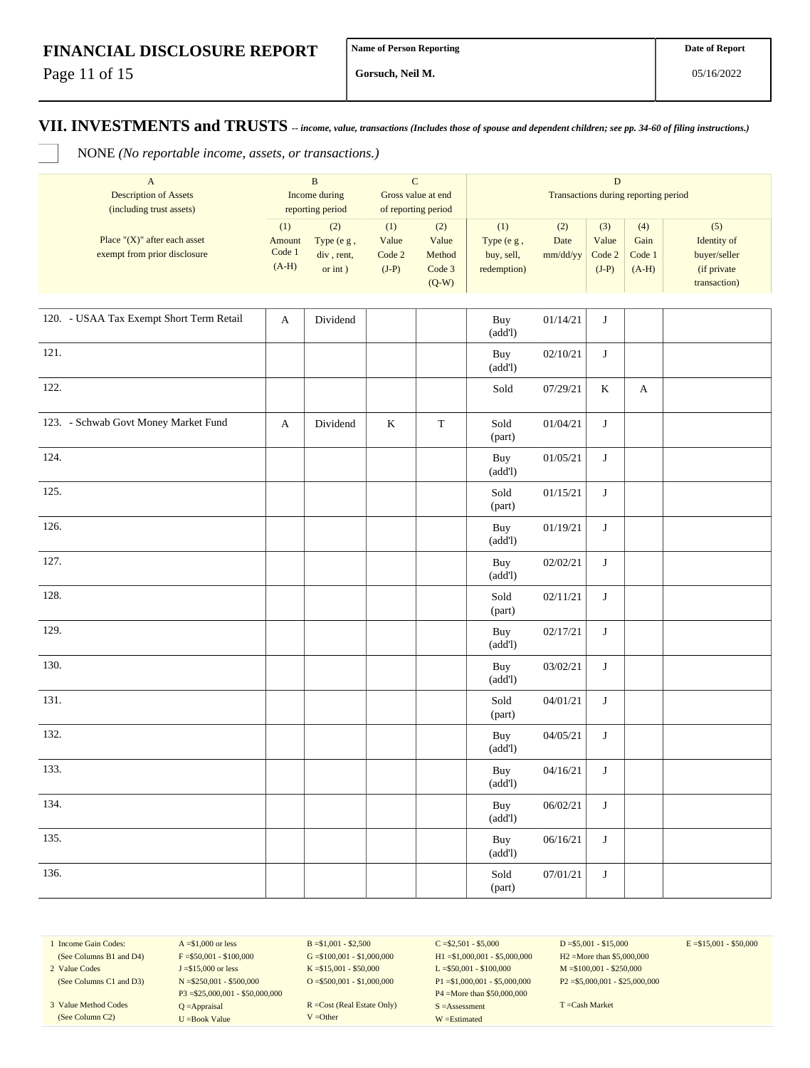Page 11 of 15

**Gorsuch, Neil M.**

**VII. INVESTMENTS and TRUSTS** *-- income, value, transactions (Includes those of spouse and dependent children; see pp. 34-60 of filing instructions.)*

NONE *(No reportable income, assets, or transactions.)*

| A                                | B<br>Income during<br>reporting period |              | Gross value at end<br>of reporting period |         |                                      |          |         |         |              |  |  |
|----------------------------------|----------------------------------------|--------------|-------------------------------------------|---------|--------------------------------------|----------|---------|---------|--------------|--|--|
| <b>Description of Assets</b>     |                                        |              |                                           |         | Transactions during reporting period |          |         |         |              |  |  |
| (including trust assets)         |                                        |              |                                           |         |                                      |          |         |         |              |  |  |
|                                  | (1)                                    | (2)          | (1)                                       | (2)     | (1)                                  | (2)      | (3)     | (4)     | (5)          |  |  |
| Place " $(X)$ " after each asset | Amount                                 | Type $(e g,$ | Value                                     | Value   | Type $(e g,$                         | Date     | Value   | Gain    | Identity of  |  |  |
| exempt from prior disclosure     | Code 1<br>$(A-H)$                      | div, rent,   | Code 2                                    | Method  | buy, sell,                           | mm/dd/yy | Code 2  | Code 1  | buyer/seller |  |  |
|                                  |                                        | or int)      | $(J-P)$                                   | Code 3  | redemption)                          |          | $(J-P)$ | $(A-H)$ | (if private) |  |  |
|                                  |                                        |              |                                           | $(Q-W)$ |                                      |          |         |         | transaction) |  |  |

| 120. - USAA Tax Exempt Short Term Retail | $\mathbf{A}$ | Dividend |         |             | Buy<br>(add!)                            | 01/14/21 | J       |              |  |
|------------------------------------------|--------------|----------|---------|-------------|------------------------------------------|----------|---------|--------------|--|
| 121.                                     |              |          |         |             | Buy<br>(add!)                            | 02/10/21 | J       |              |  |
| 122.                                     |              |          |         |             | Sold                                     | 07/29/21 | $\rm K$ | $\mathbf{A}$ |  |
| 123. - Schwab Govt Money Market Fund     | $\mathbf A$  | Dividend | $\bf K$ | $\mathbf T$ | Sold<br>(part)                           | 01/04/21 | $\bf J$ |              |  |
| 124.                                     |              |          |         |             | Buy<br>(add!)                            | 01/05/21 | $\bf J$ |              |  |
| 125.                                     |              |          |         |             | Sold<br>(part)                           | 01/15/21 | J       |              |  |
| 126.                                     |              |          |         |             | Buy<br>(add!)                            | 01/19/21 | $\bf J$ |              |  |
| 127.                                     |              |          |         |             | Buy<br>(add!)                            | 02/02/21 | $\bf J$ |              |  |
| 128.                                     |              |          |         |             | Sold<br>(part)                           | 02/11/21 | J       |              |  |
| 129.                                     |              |          |         |             | Buy<br>(add!)                            | 02/17/21 | $\bf J$ |              |  |
| 130.                                     |              |          |         |             | Buy<br>(add!)                            | 03/02/21 | $\bf J$ |              |  |
| 131.                                     |              |          |         |             | Sold<br>(part)                           | 04/01/21 | $\bf J$ |              |  |
| 132.                                     |              |          |         |             | Buy<br>(add!)                            | 04/05/21 | J       |              |  |
| 133.                                     |              |          |         |             | Buy<br>(add!)                            | 04/16/21 | $\bf J$ |              |  |
| 134.                                     |              |          |         |             | Buy<br>(add!)                            | 06/02/21 | J       |              |  |
| 135.                                     |              |          |         |             | Buy<br>(add!)                            | 06/16/21 | $\bf J$ |              |  |
| 136.                                     |              |          |         |             | $\operatorname{\mathsf{Sold}}$<br>(part) | 07/01/21 | $\bf J$ |              |  |

1 Income Gain Codes: (See Columns B1 and D4) 2 Value Codes

(See Columns C1 and D3)

3 Value Method Codes (See Column C2)

 $A = $1,000$  or less  $F = $50,001 - $100,000$ J =\$15,000 or less N =\$250,001 - \$500,000 P3 =\$25,000,001 - \$50,000,000 Q =Appraisal U =Book Value

 $B = $1,001 - $2,500$  $G = $100,001 - $1,000,000$ K =\$15,001 - \$50,000 O =  $$500,001 - $1,000,000$ 

R =Cost (Real Estate Only) V =Other

 $C = $2,501 - $5,000$ H1 =\$1,000,001 - \$5,000,000 L =\$50,001 - \$100,000 P1 =\$1,000,001 - \$5,000,000 P4 =More than \$50,000,000 S =Assessment W =Estimated

 $D = $5,001 - $15,000$ H2 =More than \$5,000,000 M =\$100,001 - \$250,000 P2 =\$5,000,001 - \$25,000,000  $E = $15,001 - $50,000$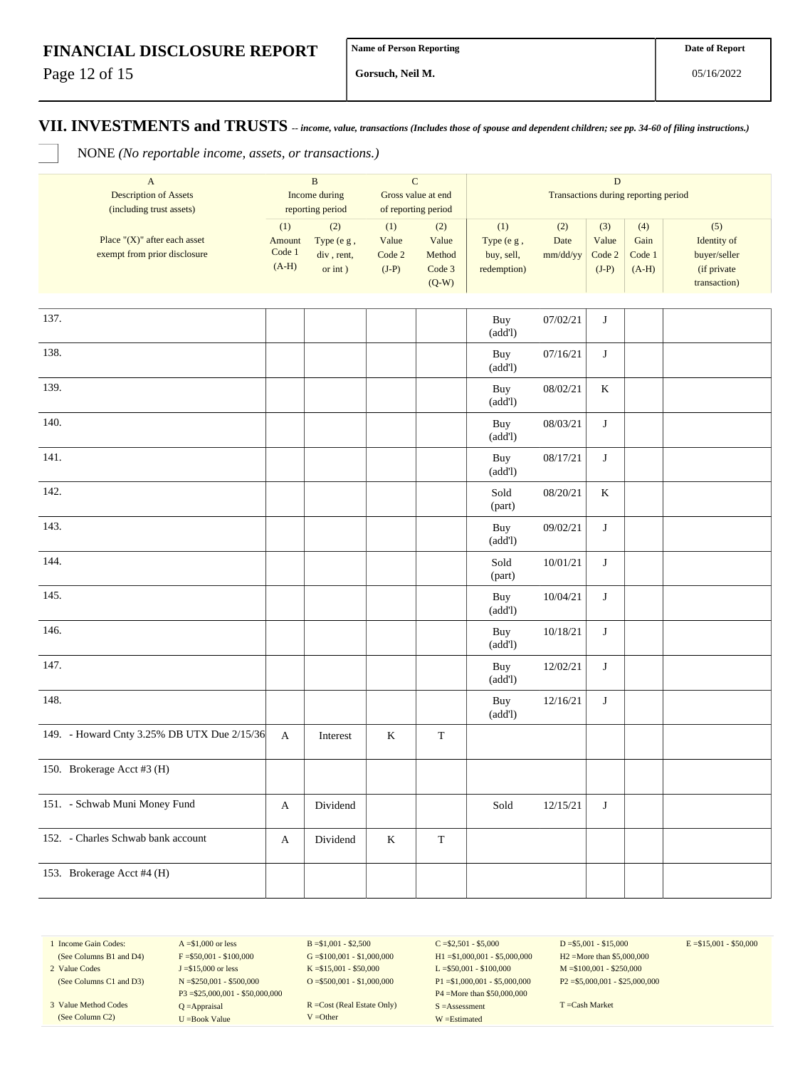Page 12 of 15

**Gorsuch, Neil M.**

**VII. INVESTMENTS and TRUSTS** *-- income, value, transactions (Includes those of spouse and dependent children; see pp. 34-60 of filing instructions.)*

NONE *(No reportable income, assets, or transactions.)*

| $\mathbf A$<br><b>Description of Assets</b><br>(including trust assets) | $\, {\bf B}$<br>Income during<br>reporting period |                                               | $\mathbf C$<br>Gross value at end<br>of reporting period |                                             | $\mathbf D$<br>Transactions during reporting period |                         |                                   |                                  |                                                                   |  |
|-------------------------------------------------------------------------|---------------------------------------------------|-----------------------------------------------|----------------------------------------------------------|---------------------------------------------|-----------------------------------------------------|-------------------------|-----------------------------------|----------------------------------|-------------------------------------------------------------------|--|
| Place " $(X)$ " after each asset<br>exempt from prior disclosure        | (1)<br>Amount<br>Code 1<br>$(A-H)$                | (2)<br>Type (e g,<br>div, rent,<br>or $int$ ) | (1)<br>Value<br>Code 2<br>$(J-P)$                        | (2)<br>Value<br>Method<br>Code 3<br>$(Q-W)$ | (1)<br>Type (e g,<br>buy, sell,<br>redemption)      | (2)<br>Date<br>mm/dd/yy | (3)<br>Value<br>Code 2<br>$(J-P)$ | (4)<br>Gain<br>Code 1<br>$(A-H)$ | (5)<br>Identity of<br>buyer/seller<br>(if private<br>transaction) |  |
| 137.                                                                    |                                                   |                                               |                                                          |                                             | Buy<br>(add!)                                       | 07/02/21                | $\bf J$                           |                                  |                                                                   |  |
| 138.                                                                    |                                                   |                                               |                                                          |                                             | Buy<br>(add!)                                       | 07/16/21                | $\bf J$                           |                                  |                                                                   |  |
| 139.                                                                    |                                                   |                                               |                                                          |                                             | Buy<br>(add!)                                       | 08/02/21                | $\rm K$                           |                                  |                                                                   |  |
| 140.                                                                    |                                                   |                                               |                                                          |                                             | Buy<br>(add!)                                       | 08/03/21                | J                                 |                                  |                                                                   |  |
| 141.                                                                    |                                                   |                                               |                                                          |                                             | Buy<br>(add!)                                       | 08/17/21                | $\bf J$                           |                                  |                                                                   |  |
| 142.                                                                    |                                                   |                                               |                                                          |                                             | Sold<br>(part)                                      | 08/20/21                | $\rm K$                           |                                  |                                                                   |  |
| 143.                                                                    |                                                   |                                               |                                                          |                                             | Buy<br>(add!)                                       | 09/02/21                | $\mathbf{J}$                      |                                  |                                                                   |  |
| 144.                                                                    |                                                   |                                               |                                                          |                                             | Sold<br>(part)                                      | 10/01/21                | J                                 |                                  |                                                                   |  |
| 145.                                                                    |                                                   |                                               |                                                          |                                             | Buy<br>(add!)                                       | 10/04/21                | J                                 |                                  |                                                                   |  |
| 146.                                                                    |                                                   |                                               |                                                          |                                             | Buy<br>(add!)                                       | 10/18/21                | $\bf J$                           |                                  |                                                                   |  |
| 147.                                                                    |                                                   |                                               |                                                          |                                             | Buy<br>(add!)                                       | 12/02/21                | $\bf J$                           |                                  |                                                                   |  |
| 148.                                                                    |                                                   |                                               |                                                          |                                             | Buy<br>(add!)                                       | 12/16/21                | $\bf J$                           |                                  |                                                                   |  |
| 149. - Howard Cnty 3.25% DB UTX Due 2/15/36                             | A                                                 | Interest                                      | $\bf K$                                                  | $\mathbf T$                                 |                                                     |                         |                                   |                                  |                                                                   |  |
| 150. Brokerage Acct #3 (H)                                              |                                                   |                                               |                                                          |                                             |                                                     |                         |                                   |                                  |                                                                   |  |
| 151. - Schwab Muni Money Fund                                           | A                                                 | Dividend                                      |                                                          |                                             | Sold                                                | 12/15/21                | J                                 |                                  |                                                                   |  |
| 152. - Charles Schwab bank account                                      | A                                                 | Dividend                                      | $\bf K$                                                  | $\mathbf T$                                 |                                                     |                         |                                   |                                  |                                                                   |  |
| 153. Brokerage Acct #4 (H)                                              |                                                   |                                               |                                                          |                                             |                                                     |                         |                                   |                                  |                                                                   |  |

1 Income Gain Codes: (See Columns B1 and D4)

2 Value Codes (See Columns C1 and D3)

3 Value Method Codes (See Column C2)

 $A = $1,000$  or less  $F = $50,001 - $100,000$ J =\$15,000 or less N =\$250,001 - \$500,000 P3 =\$25,000,001 - \$50,000,000 Q =Appraisal U =Book Value

 $B = $1,001 - $2,500$  $G = $100,001 - $1,000,000$ K =\$15,001 - \$50,000 O =  $$500,001 - $1,000,000$ 

R =Cost (Real Estate Only) V =Other

 $C = $2,501 - $5,000$ H1 =\$1,000,001 - \$5,000,000 L =\$50,001 - \$100,000 P1 =\$1,000,001 - \$5,000,000 P4 =More than \$50,000,000 S =Assessment W =Estimated

 $D = $5,001 - $15,000$ H2 =More than \$5,000,000 M =\$100,001 - \$250,000 P2 =\$5,000,001 - \$25,000,000  $E = $15,001 - $50,000$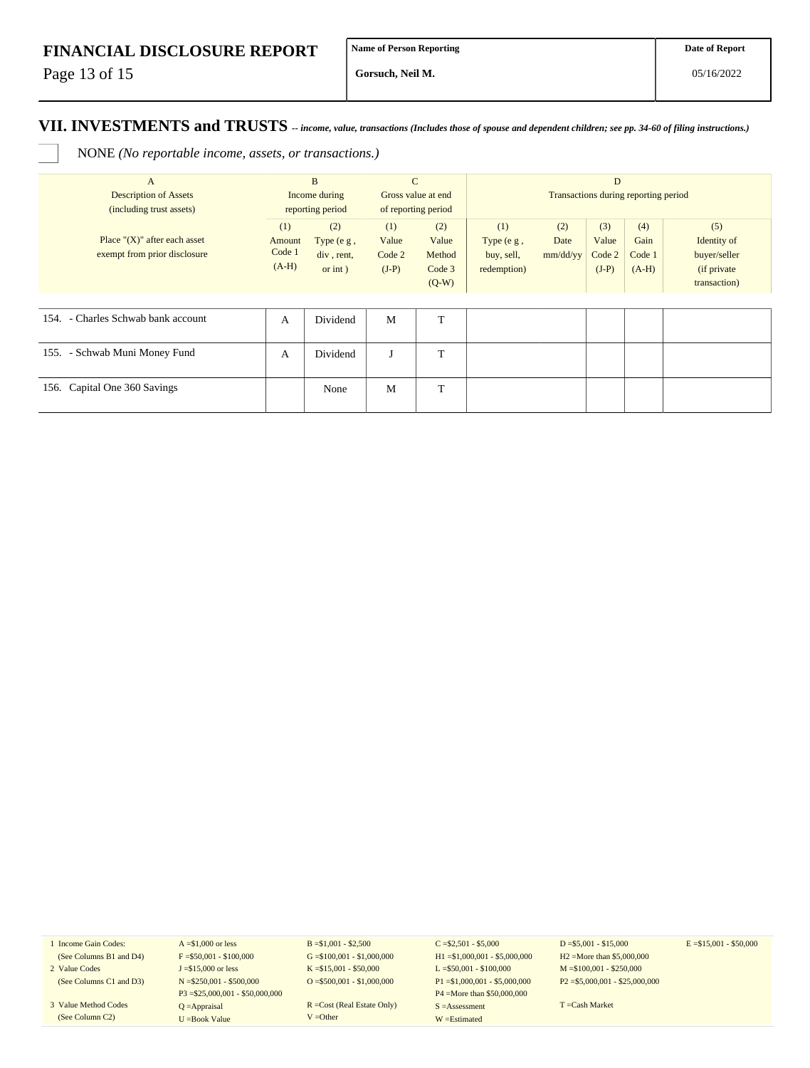Page 13 of 15

**Gorsuch, Neil M.**

#### **VII. INVESTMENTS and TRUSTS** *-- income, value, transactions (Includes those of spouse and dependent children; see pp. 34-60 of filing instructions.)*

NONE *(No reportable income, assets, or transactions.)*

| $\mathbf{A}$                                             | B       |                  | $\mathbf C$<br>Gross value at end |                     | D<br>Transactions during reporting period |          |         |         |              |  |
|----------------------------------------------------------|---------|------------------|-----------------------------------|---------------------|-------------------------------------------|----------|---------|---------|--------------|--|
| <b>Description of Assets</b><br>(including trust assets) |         | Income during    |                                   |                     |                                           |          |         |         |              |  |
|                                                          |         | reporting period |                                   | of reporting period |                                           |          |         |         |              |  |
|                                                          | (1)     | (2)              | (1)                               | (2)                 | (1)                                       | (2)      | (3)     | (4)     | (5)          |  |
| Place " $(X)$ " after each asset                         | Amount  | Type $(e g,$     | Value                             | Value               | Type $(e g,$                              | Date     | Value   | Gain    | Identity of  |  |
| exempt from prior disclosure                             | Code 1  | div, rent,       | Code 2                            | Method              | buy, sell,                                | mm/dd/yy | Code 2  | Code 1  | buyer/seller |  |
|                                                          | $(A-H)$ | $or$ int $)$     | $(J-P)$                           | Code 3              | redemption)                               |          | $(J-P)$ | $(A-H)$ | (if private) |  |
|                                                          |         |                  |                                   | $(Q-W)$             |                                           |          |         |         | transaction) |  |
|                                                          |         |                  |                                   |                     |                                           |          |         |         |              |  |
| 154. - Charles Schwab bank account                       | A       | Dividend         | M                                 | T                   |                                           |          |         |         |              |  |
|                                                          |         |                  |                                   |                     |                                           |          |         |         |              |  |
| 155. - Schwab Muni Money Fund                            | А       | Dividend         | J                                 | T                   |                                           |          |         |         |              |  |
|                                                          |         |                  |                                   |                     |                                           |          |         |         |              |  |
| 156. Capital One 360 Savings                             |         | None             | M                                 | T                   |                                           |          |         |         |              |  |
|                                                          |         |                  |                                   |                     |                                           |          |         |         |              |  |

1 Income Gain Codes: (See Columns B1 and D4)

- 2 Value Codes (See Columns C1 and D3)
- 3 Value Method Codes (See Column C2)

 $A = $1,000$  or less  $F = $50,001 - $100,000$ J =\$15,000 or less N =\$250,001 - \$500,000 P3 =\$25,000,001 - \$50,000,000 Q =Appraisal U =Book Value

 $B = $1,001 - $2,500$  $G = $100,001 - $1,000,000$ K =\$15,001 - \$50,000 O =  $$500,001 - $1,000,000$ 

R =Cost (Real Estate Only) V =Other

 $C = $2,501 - $5,000$ H1 =\$1,000,001 - \$5,000,000 L =\$50,001 - \$100,000 P1 =\$1,000,001 - \$5,000,000 P4 =More than \$50,000,000 S =Assessment W =Estimated

 $D = $5,001 - $15,000$ H2 =More than \$5,000,000 M =\$100,001 - \$250,000 P2 =\$5,000,001 - \$25,000,000  $E = $15,001 - $50,000$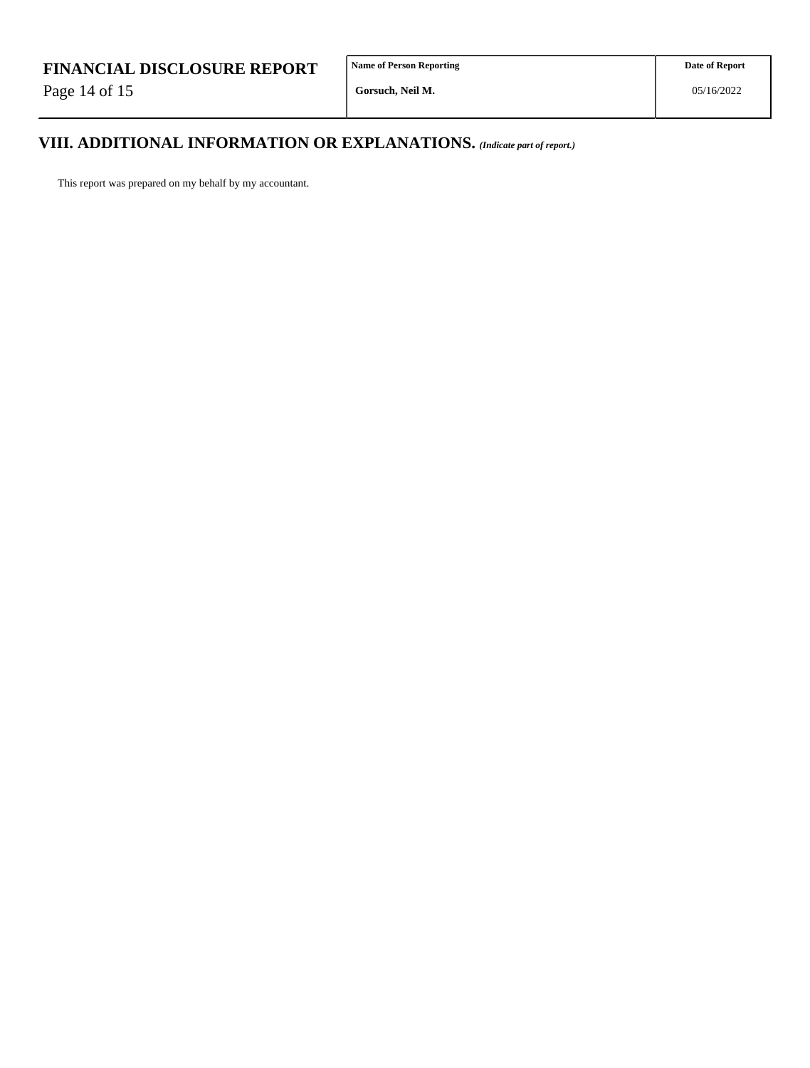Page 14 of 15

# **VIII. ADDITIONAL INFORMATION OR EXPLANATIONS.** *(Indicate part of report.)*

This report was prepared on my behalf by my accountant.